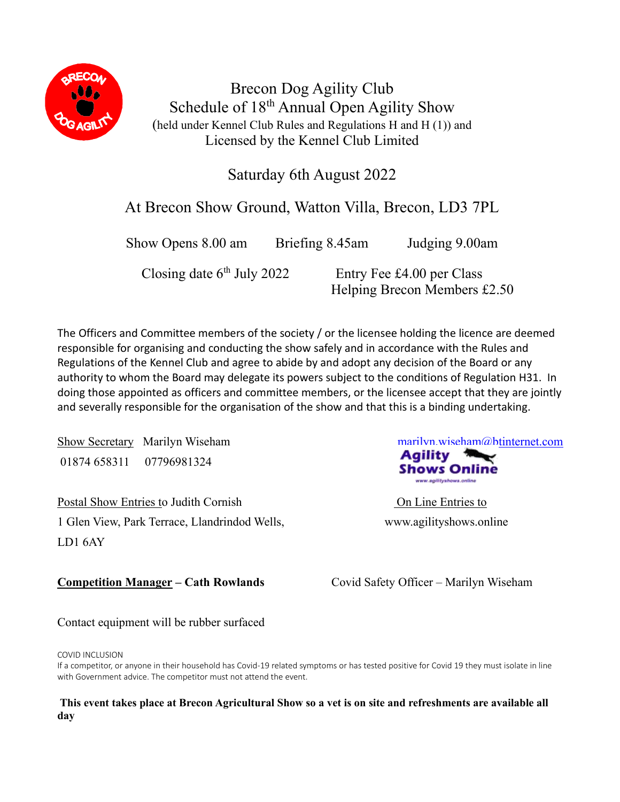

Brecon Dog Agility Club Schedule of 18<sup>th</sup> Annual Open Agility Show (held under Kennel Club Rules and Regulations H and H (1)) and Licensed by the Kennel Club Limited

Saturday 6th August 2022

# At Brecon Show Ground, Watton Villa, Brecon, LD3 7PL

Show Opens 8.00 am Briefing 8.45am Judging 9.00am Closing date  $6<sup>th</sup>$  July 2022 Entry Fee £4.00 per Class Helping Brecon Members £2.50

The Officers and Committee members of the society / or the licensee holding the licence are deemed responsible for organising and conducting the show safely and in accordance with the Rules and Regulations of the Kennel Club and agree to abide by and adopt any decision of the Board or any authority to whom the Board may delegate its powers subject to the conditions of Regulation H31. In doing those appointed as officers and committee members, or the licensee accept that they are jointly and severally responsible for the organisation of the show and that this is a binding undertaking.

Show Secretary Marilyn Wiseham marilyn.wiseham marilyn.wiseham marilyn.wiseham marilyn.wiseham marilyn.wiseham marilyn.wiseham marilyn.wiseham marilyn.wiseham marilyn.wiseham marilyn.wiseham marilyn.wiseham marilyn.wiseham 01874 658311 07796981324

Postal Show Entries to Judith Cornish On Line Entries to 1 Glen View, Park Terrace, Llandrindod Wells, www.agilityshows.online LD1 6AY

**Competition Manager – Cath Rowlands** Covid Safety Officer – Marilyn Wiseham

Contact equipment will be rubber surfaced

#### COVID INCLUSION

If a competitor, or anyone in their household has Covid-19 related symptoms or has tested positive for Covid 19 they must isolate in line with Government advice. The competitor must not attend the event.

### **This event takes place at Brecon Agricultural Show so a vet is on site and refreshments are available all day**

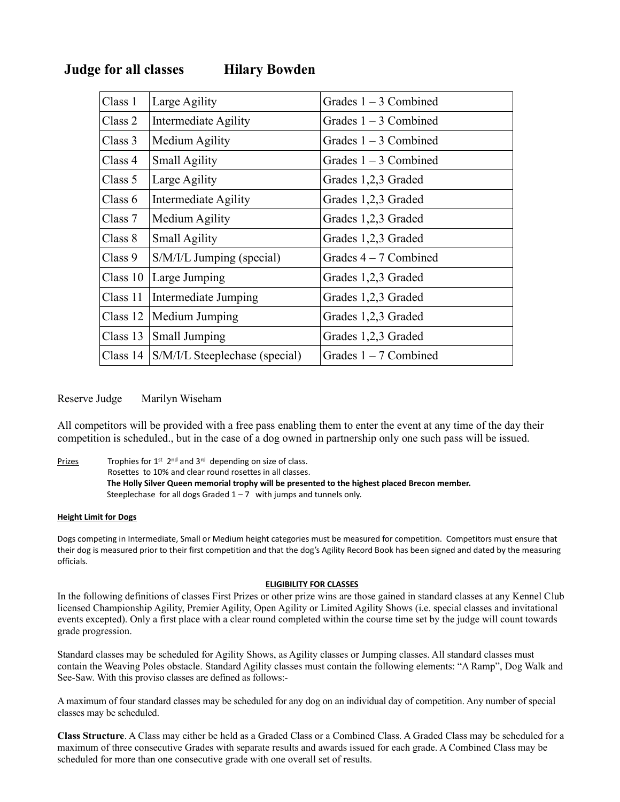| Class 1    | Large Agility                  | Grades $1 - 3$ Combined |
|------------|--------------------------------|-------------------------|
| Class 2    | Intermediate Agility           | Grades $1 - 3$ Combined |
| Class 3    | Medium Agility                 | Grades $1 - 3$ Combined |
| Class 4    | <b>Small Agility</b>           | Grades $1 - 3$ Combined |
| Class 5    | Large Agility                  | Grades 1,2,3 Graded     |
| Class 6    | Intermediate Agility           | Grades 1,2,3 Graded     |
| Class 7    | Medium Agility                 | Grades 1,2,3 Graded     |
| Class 8    | <b>Small Agility</b>           | Grades 1,2,3 Graded     |
| Class 9    | S/M/I/L Jumping (special)      | Grades $4-7$ Combined   |
|            | Class $10$ Large Jumping       | Grades 1,2,3 Graded     |
| Class 11   | Intermediate Jumping           | Grades 1,2,3 Graded     |
| Class $12$ | Medium Jumping                 | Grades 1,2,3 Graded     |
| Class 13   | <b>Small Jumping</b>           | Grades 1,2,3 Graded     |
| Class 14   | S/M/I/L Steeplechase (special) | Grades $1 - 7$ Combined |

# **Judge for all classes Hilary Bowden**

#### Reserve Judge Marilyn Wiseham

All competitors will be provided with a free pass enabling them to enter the event at any time of the day their competition is scheduled., but in the case of a dog owned in partnership only one such pass will be issued.

Prizes Trophies for  $1^{st}$  2<sup>nd</sup> and  $3^{rd}$  depending on size of class. Rosettes to 10% and clear round rosettes in all classes. **The Holly Silver Queen memorial trophy will be presented to the highest placed Brecon member.** Steeplechase for all dogs Graded  $1 - 7$  with jumps and tunnels only.

#### **Height Limit for Dogs**

Dogs competing in Intermediate, Small or Medium height categories must be measured for competition. Competitors must ensure that their dog is measured prior to their first competition and that the dog's Agility Record Book has been signed and dated by the measuring officials.

#### **ELIGIBILITY FOR CLASSES**

In the following definitions of classes First Prizes or other prize wins are those gained in standard classes at any Kennel Club licensed Championship Agility, Premier Agility, Open Agility or Limited Agility Shows (i.e. special classes and invitational events excepted). Only a first place with a clear round completed within the course time set by the judge will count towards grade progression.

Standard classes may be scheduled for Agility Shows, as Agility classes or Jumping classes. All standard classes must contain the Weaving Poles obstacle. Standard Agility classes must contain the following elements: "A Ramp", Dog Walk and See-Saw. With this proviso classes are defined as follows:-

A maximum of four standard classes may be scheduled for any dog on an individual day of competition. Any number of special classes may be scheduled.

**Class Structure**. A Class may either be held as a Graded Class or a Combined Class. A Graded Class may be scheduled for a maximum of three consecutive Grades with separate results and awards issued for each grade. A Combined Class may be scheduled for more than one consecutive grade with one overall set of results.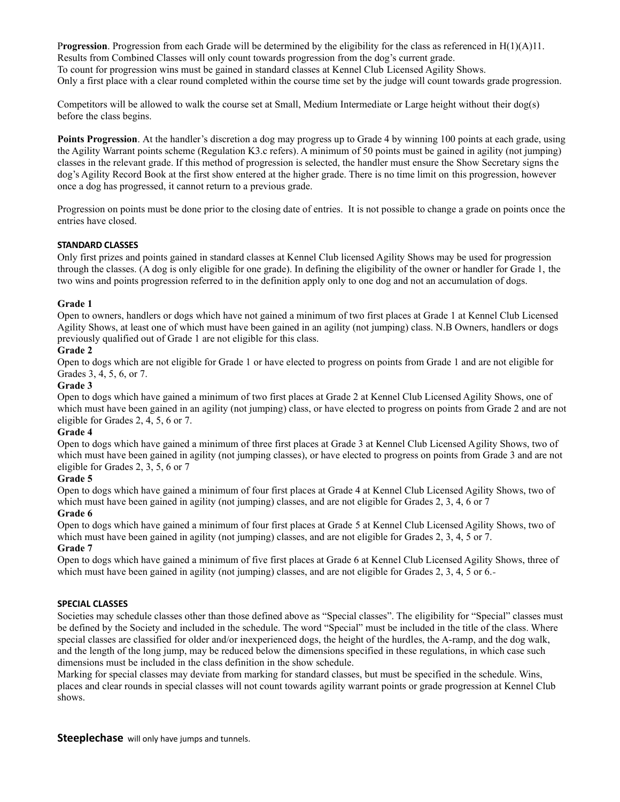P**rogression**. Progression from each Grade will be determined by the eligibility for the class as referenced in H(1)(A)11. Results from Combined Classes will only count towards progression from the dog's current grade. To count for progression wins must be gained in standard classes at Kennel Club Licensed Agility Shows. Only a first place with a clear round completed within the course time set by the judge will count towards grade progression.

Competitors will be allowed to walk the course set at Small, Medium Intermediate or Large height without their dog(s) before the class begins.

**Points Progression**. At the handler's discretion a dog may progress up to Grade 4 by winning 100 points at each grade, using the Agility Warrant points scheme (Regulation K3.c refers). A minimum of 50 points must be gained in agility (not jumping) classes in the relevant grade. If this method of progression is selected, the handler must ensure the Show Secretary signs the dog's Agility Record Book at the first show entered at the higher grade. There is no time limit on this progression, however once a dog has progressed, it cannot return to a previous grade.

Progression on points must be done prior to the closing date of entries. It is not possible to change a grade on points once the entries have closed.

#### **STANDARD CLASSES**

Only first prizes and points gained in standard classes at Kennel Club licensed Agility Shows may be used for progression through the classes. (A dog is only eligible for one grade). In defining the eligibility of the owner or handler for Grade 1, the two wins and points progression referred to in the definition apply only to one dog and not an accumulation of dogs.

#### **Grade 1**

Open to owners, handlers or dogs which have not gained a minimum of two first places at Grade 1 at Kennel Club Licensed Agility Shows, at least one of which must have been gained in an agility (not jumping) class. N.B Owners, handlers or dogs previously qualified out of Grade 1 are not eligible for this class.

#### **Grade 2**

Open to dogs which are not eligible for Grade 1 or have elected to progress on points from Grade 1 and are not eligible for Grades 3, 4, 5, 6, or 7.

#### **Grade 3**

Open to dogs which have gained a minimum of two first places at Grade 2 at Kennel Club Licensed Agility Shows, one of which must have been gained in an agility (not jumping) class, or have elected to progress on points from Grade 2 and are not eligible for Grades 2, 4, 5, 6 or 7.

#### **Grade 4**

Open to dogs which have gained a minimum of three first places at Grade 3 at Kennel Club Licensed Agility Shows, two of which must have been gained in agility (not jumping classes), or have elected to progress on points from Grade 3 and are not eligible for Grades 2, 3, 5, 6 or 7

#### **Grade 5**

Open to dogs which have gained a minimum of four first places at Grade 4 at Kennel Club Licensed Agility Shows, two of which must have been gained in agility (not jumping) classes, and are not eligible for Grades 2, 3, 4, 6 or 7

#### **Grade 6**

Open to dogs which have gained a minimum of four first places at Grade 5 at Kennel Club Licensed Agility Shows, two of which must have been gained in agility (not jumping) classes, and are not eligible for Grades 2, 3, 4, 5 or 7.

### **Grade 7**

Open to dogs which have gained a minimum of five first places at Grade 6 at Kennel Club Licensed Agility Shows, three of which must have been gained in agility (not jumping) classes, and are not eligible for Grades 2, 3, 4, 5 or 6.

#### **SPECIAL CLASSES**

Societies may schedule classes other than those defined above as "Special classes". The eligibility for "Special" classes must be defined by the Society and included in the schedule. The word "Special" must be included in the title of the class. Where special classes are classified for older and/or inexperienced dogs, the height of the hurdles, the A-ramp, and the dog walk, and the length of the long jump, may be reduced below the dimensions specified in these regulations, in which case such dimensions must be included in the class definition in the show schedule.

Marking for special classes may deviate from marking for standard classes, but must be specified in the schedule. Wins, places and clear rounds in special classes will not count towards agility warrant points or grade progression at Kennel Club shows.

**Steeplechase** will only have jumps and tunnels.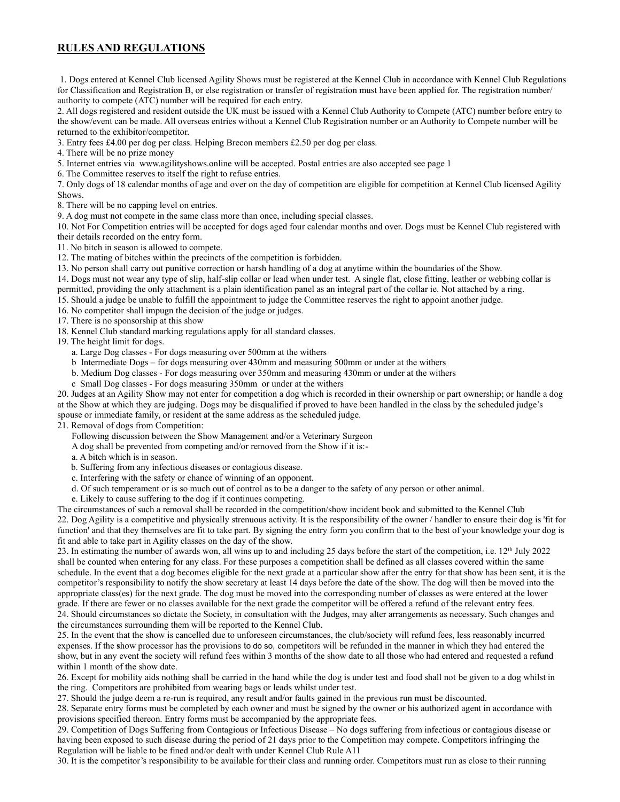## **RULES AND REGULATIONS**

1. Dogs entered at Kennel Club licensed Agility Shows must be registered at the Kennel Club in accordance with Kennel Club Regulations for Classification and Registration B, or else registration or transfer of registration must have been applied for. The registration number/ authority to compete (ATC) number will be required for each entry.

2. All dogs registered and resident outside the UK must be issued with a Kennel Club Authority to Compete (ATC) number before entry to the show/event can be made. All overseas entries without a Kennel Club Registration number or an Authority to Compete number will be returned to the exhibitor/competitor.

3. Entry fees £4.00 per dog per class. Helping Brecon members £2.50 per dog per class.

4. There will be no prize money

5. Internet entries via www.agilityshows.online will be accepted. Postal entries are also accepted see page 1

6. The Committee reserves to itself the right to refuse entries.

7. Only dogs of 18 calendar months of age and over on the day of competition are eligible for competition at Kennel Club licensed Agility Shows.

8. There will be no capping level on entries.

9. A dog must not compete in the same class more than once, including special classes.

10. Not For Competition entries will be accepted for dogs aged four calendar months and over. Dogs must be Kennel Club registered with their details recorded on the entry form.

11. No bitch in season is allowed to compete.

12. The mating of bitches within the precincts of the competition is forbidden.

13. No person shall carry out punitive correction or harsh handling of a dog at anytime within the boundaries of the Show.

14. Dogs must not wear any type of slip, half-slip collar or lead when under test. A single flat, close fitting, leather or webbing collar is permitted, providing the only attachment is a plain identification panel as an integral part of the collar ie. Not attached by a ring.

15. Should a judge be unable to fulfill the appointment to judge the Committee reserves the right to appoint another judge.

16. No competitor shall impugn the decision of the judge or judges.

17. There is no sponsorship at this show

18. Kennel Club standard marking regulations apply for all standard classes.

19. The height limit for dogs.

a. Large Dog classes - For dogs measuring over 500mm at the withers

b Intermediate Dogs – for dogs measuring over 430mm and measuring 500mm or under at the withers

b. Medium Dog classes - For dogs measuring over 350mm and measuring 430mm or under at the withers

c Small Dog classes - For dogs measuring 350mm or under at the withers

20. Judges at an Agility Show may not enter for competition a dog which is recorded in their ownership or part ownership; or handle a dog at the Show at which they are judging. Dogs may be disqualified if proved to have been handled in the class by the scheduled judge's spouse or immediate family, or resident at the same address as the scheduled judge.

21. Removal of dogs from Competition:

Following discussion between the Show Management and/or a Veterinary Surgeon

A dog shall be prevented from competing and/or removed from the Show if it is:-

a. A bitch which is in season.

b. Suffering from any infectious diseases or contagious disease.

c. Interfering with the safety or chance of winning of an opponent.

d. Of such temperament or is so much out of control as to be a danger to the safety of any person or other animal.

e. Likely to cause suffering to the dog if it continues competing.

The circumstances of such a removal shall be recorded in the competition/show incident book and submitted to the Kennel Club 22. Dog Agility is a competitive and physically strenuous activity. It is the responsibility of the owner / handler to ensure their dog is 'fit for function' and that they themselves are fit to take part. By signing the entry form you confirm that to the best of your knowledge your dog is fit and able to take part in Agility classes on the day of the show.

23. In estimating the number of awards won, all wins up to and including 25 days before the start of the competition, i.e. 12<sup>th</sup> July 2022 shall be counted when entering for any class. For these purposes a competition shall be defined as all classes covered within the same schedule. In the event that a dog becomes eligible for the next grade at a particular show after the entry for that show has been sent, it is the competitor's responsibility to notify the show secretary at least 14 days before the date of the show. The dog will then be moved into the appropriate class(es) for the next grade. The dog must be moved into the corresponding number of classes as were entered at the lower grade. If there are fewer or no classes available for the next grade the competitor will be offered a refund of the relevant entry fees. 24. Should circumstances so dictate the Society, in consultation with the Judges, may alter arrangements as necessary. Such changes and the circumstances surrounding them will be reported to the Kennel Club.

25. In the event that the show is cancelled due to unforeseen circumstances, the club/society will refund fees, less reasonably incurred expenses. If the **s**how processor has the provisions to do so, competitors will be refunded in the manner in which they had entered the show, but in any event the society will refund fees within 3 months of the show date to all those who had entered and requested a refund within 1 month of the show date.

26. Except for mobility aids nothing shall be carried in the hand while the dog is under test and food shall not be given to a dog whilst in the ring. Competitors are prohibited from wearing bags or leads whilst under test.

27. Should the judge deem a re-run is required, any result and/or faults gained in the previous run must be discounted.

28. Separate entry forms must be completed by each owner and must be signed by the owner or his authorized agent in accordance with provisions specified thereon. Entry forms must be accompanied by the appropriate fees.

29. Competition of Dogs Suffering from Contagious or Infectious Disease – No dogs suffering from infectious or contagious disease or having been exposed to such disease during the period of 21 days prior to the Competition may compete. Competitors infringing the Regulation will be liable to be fined and/or dealt with under Kennel Club Rule A11

30. It is the competitor's responsibility to be available for their class and running order. Competitors must run as close to their running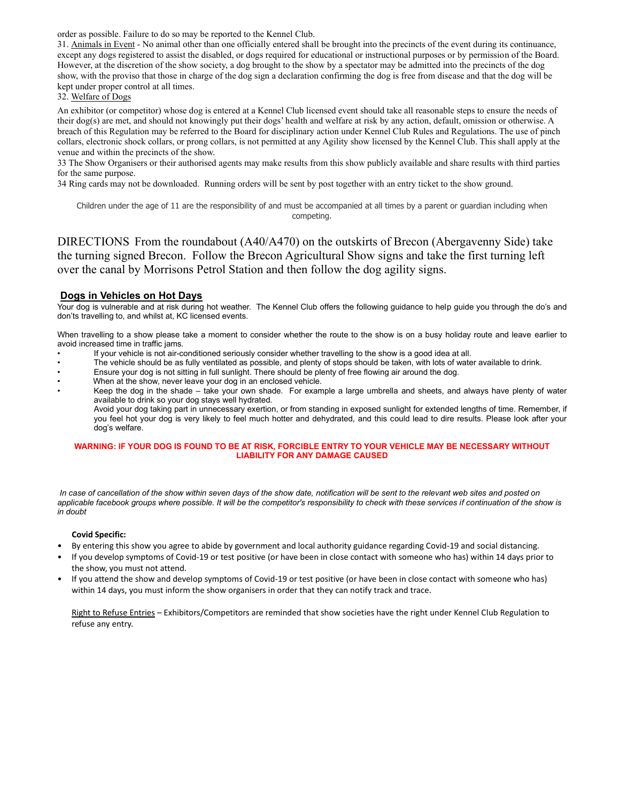order as possible. Failure to do so may be reported to the Kennel Club.

31. Animals in Event - No animal other than one officially entered shall be brought into the precincts of the event during its continuance, except any dogs registered to assist the disabled, or dogs required for educational or instructional purposes or by permission of the Board. However, at the discretion of the show society, a dog brought to the show by a spectator may be admitted into the precincts of the dog show, with the proviso that those in charge of the dog sign a declaration confirming the dog is free from disease and that the dog will be kept under proper control at all times.

32. Welfare of Dogs

An exhibitor (or competitor) whose dog is entered at a Kennel Club licensed event should take all reasonable steps to ensure the needs of their dog(s) are met, and should not knowingly put their dogs' health and welfare at risk by any action, default, omission or otherwise. A breach of this Regulation may be referred to the Board for disciplinary action under Kennel Club Rules and Regulations. The use of pinch collars, electronic shock collars, or prong collars, is not permitted at any Agility show licensed by the Kennel Club. This shall apply at the venue and within the precincts of the show.

33 The Show Organisers or their authorised agents may make results from this show publicly available and share results with third parties for the same purpose.

34 Ring cards may not be downloaded. Running orders will be sent by post together with an entry ticket to the show ground.

Children under the age of 11 are the responsibility of and must be accompanied at all times by a parent or guardian including when competing.

DIRECTIONS From the roundabout (A40/A470) on the outskirts of Brecon (Abergavenny Side) take the turning signed Brecon. Follow the Brecon Agricultural Show signs and take the first turning left over the canal by Morrisons Petrol Station and then follow the dog agility signs.

#### **Dogs in Vehicles on Hot Days**

Your dog is vulnerable and at risk during hot weather. The Kennel Club offers the following guidance to help guide you through the do's and don'ts travelling to, and whilst at, KC licensed events.

When travelling to a show please take a moment to consider whether the route to the show is on a busy holiday route and leave earlier to avoid increased time in traffic jams.

- If your vehicle is not air-conditioned seriously consider whether travelling to the show is a good idea at all.
- The vehicle should be as fully ventilated as possible, and plenty of stops should be taken, with lots of water available to drink.
- Ensure your dog is not sitting in full sunlight. There should be plenty of free flowing air around the dog.
- When at the show, never leave your dog in an enclosed vehicle.
- Keep the dog in the shade take your own shade. For example a large umbrella and sheets, and always have plenty of water available to drink so your dog stays well hydrated.

Avoid your dog taking part in unnecessary exertion, or from standing in exposed sunlight for extended lengths of time. Remember, if you feel hot your dog is very likely to feel much hotter and dehydrated, and this could lead to dire results. Please look after your dog's welfare.

#### **WARNING: IF YOUR DOG IS FOUND TO BE AT RISK, FORCIBLE ENTRY TO YOUR VEHICLE MAY BE NECESSARY WITHOUT LIABILITY FOR ANY DAMAGE CAUSED**

*In case of cancellation of the show within seven days of the show date, notification will be sent to the relevant web sites and posted on*  applicable facebook groups where possible. It will be the competitor's responsibility to check with these services if continuation of the show is *in doubt*

#### **Covid Specific:**

- By entering this show you agree to abide by government and local authority guidance regarding Covid-19 and social distancing.
- If you develop symptoms of Covid-19 or test positive (or have been in close contact with someone who has) within 14 days prior to the show, you must not attend.
- If you attend the show and develop symptoms of Covid-19 or test positive (or have been in close contact with someone who has) within 14 days, you must inform the show organisers in order that they can notify track and trace.

Right to Refuse Entries - Exhibitors/Competitors are reminded that show societies have the right under Kennel Club Regulation to refuse any entry.